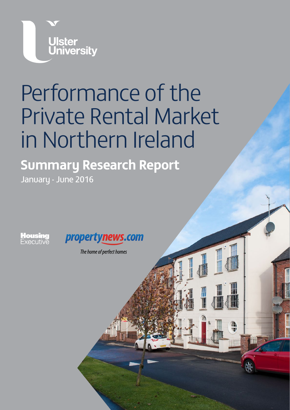

# Performance of the Private Rental Market in Northern Ireland

**Summary Research Report** January - June 2016

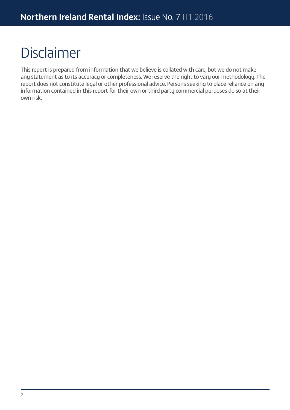## Disclaimer

This report is prepared from information that we believe is collated with care, but we do not make any statement as to its accuracy or completeness. We reserve the right to vary our methodology. The report does not constitute legal or other professional advice. Persons seeking to place reliance on any information contained in this report for their own or third party commercial purposes do so at their own risk.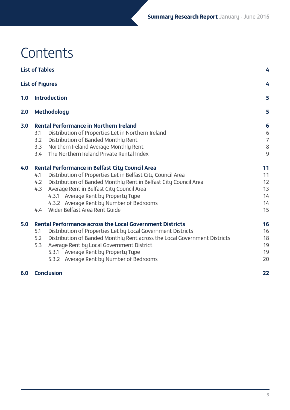## **Contents**

|     | <b>List of Tables</b>                                                            | 4              |
|-----|----------------------------------------------------------------------------------|----------------|
|     | <b>List of Figures</b>                                                           | 4              |
| 1.0 | <b>Introduction</b>                                                              | 5              |
| 2.0 | Methodology                                                                      | 5              |
| 3.0 | <b>Rental Performance in Northern Ireland</b>                                    | 6              |
|     | Distribution of Properties Let in Northern Ireland<br>3.1                        | 6              |
|     | 3.2<br>Distribution of Banded Monthly Rent                                       | $\overline{7}$ |
|     | Northern Ireland Average Monthly Rent<br>3.3                                     | 8              |
|     | The Northern Ireland Private Rental Index<br>3.4                                 | 9              |
| 4.0 | <b>Rental Performance in Belfast City Council Area</b>                           | 11             |
|     | Distribution of Properties Let in Belfast City Council Area<br>4.1               | 11             |
|     | Distribution of Banded Monthly Rent in Belfast City Council Area<br>4.2          | 12             |
|     | 4.3<br>Average Rent in Belfast City Council Area                                 | 13             |
|     | 4.3.1 Average Rent by Property Type                                              | 14             |
|     | 4.3.2 Average Rent by Number of Bedrooms                                         | 14             |
|     | Wider Belfast Area Rent Guide<br>4.4                                             | 15             |
| 5.0 | <b>Rental Performance across the Local Government Districts</b>                  | 16             |
|     | Distribution of Properties Let by Local Government Districts<br>5.1              | 16             |
|     | 5.2<br>Distribution of Banded Monthly Rent across the Local Government Districts | 18             |
|     | 5.3<br>Average Rent by Local Government District                                 | 19             |
|     | 5.3.1 Average Rent by Property Type                                              | 19             |
|     | 5.3.2 Average Rent by Number of Bedrooms                                         | 20             |
| 6.0 | <b>Conclusion</b>                                                                | 22             |
|     |                                                                                  |                |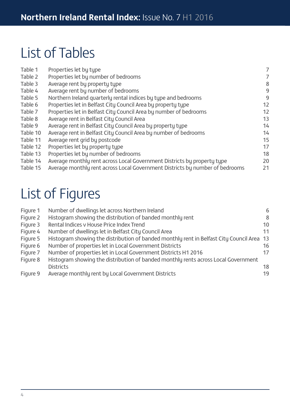## List of Tables

| Table 1  | Properties let by type                                                       | 7  |
|----------|------------------------------------------------------------------------------|----|
| Table 2  | Properties let by number of bedrooms                                         | 7  |
| Table 3  | Average rent by property type                                                | 8  |
| Table 4  | Average rent by number of bedrooms                                           | 9  |
| Table 5  | Northern Ireland quarterly rental indices by type and bedrooms               | 9  |
| Table 6  | Properties let in Belfast City Council Area by property type                 | 12 |
| Table 7  | Properties let in Belfast City Council Area by number of bedrooms            | 12 |
| Table 8  | Average rent in Belfast City Council Area                                    | 13 |
| Table 9  | Average rent in Belfast City Council Area by property type                   | 14 |
| Table 10 | Average rent in Belfast City Council Area by number of bedrooms              | 14 |
| Table 11 | Average rent grid by postcode                                                | 15 |
| Table 12 | Properties let by property type                                              | 17 |
| Table 13 | Properties let by number of bedrooms                                         | 18 |
| Table 14 | Average monthly rent across Local Government Districts by property type      | 20 |
| Table 15 | Average monthly rent across Local Government Districts by number of bedrooms | 21 |
|          |                                                                              |    |

## List of Figures

| Figure 1 | Number of dwellings let across Northern Ireland                                           | 6  |
|----------|-------------------------------------------------------------------------------------------|----|
| Figure 2 | Histogram showing the distribution of banded monthly rent                                 | 8  |
| Figure 3 | Rental Indices v House Price Index Trend                                                  | 10 |
| Figure 4 | Number of dwellings let in Belfast City Council Area                                      | 11 |
| Figure 5 | Histogram showing the distribution of banded monthly rent in Belfast City Council Area 13 |    |
| Figure 6 | Number of properties let in Local Government Districts                                    | 16 |
| Figure 7 | Number of properties let in Local Government Districts H1 2016                            | 17 |
| Figure 8 | Histogram showing the distribution of banded monthly rents across Local Government        |    |
|          | <b>Districts</b>                                                                          | 18 |
| Figure 9 | Average monthly rent by Local Government Districts                                        | 19 |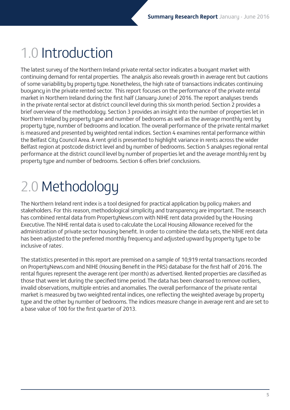## 1.0 Introduction

The latest survey of the Northern Ireland private rental sector indicates a buoyant market with continuing demand for rental properties. The analysis also reveals growth in average rent but cautions of some variability by property type. Nonetheless, the high rate of transactions indicates continuing buoyancy in the private rented sector. This report focuses on the performance of the private rental market in Northern Ireland during the first half (January-June) of 2016. The report analyses trends in the private rental sector at district council level during this six month period. Section 2 provides a brief overview of the methodology. Section 3 provides an insight into the number of properties let in Northern Ireland by property type and number of bedrooms as well as the average monthly rent by property type, number of bedrooms and location. The overall performance of the private rental market is measured and presented by weighted rental indices. Section 4 examines rental performance within the Belfast City Council Area. A rent grid is presented to highlight variance in rents across the wider Belfast region at postcode district level and by number of bedrooms. Section 5 analyses regional rental performance at the district council level by number of properties let and the average monthly rent by property type and number of bedrooms. Section 6 offers brief conclusions.

## 2.0 Methodology

The Northern Ireland rent index is a tool designed for practical application by policy makers and stakeholders. For this reason, methodological simplicity and transparency are important. The research has combined rental data from PropertyNews.com with NIHE rent data provided by the Housing Executive. The NIHE rental data is used to calculate the Local Housing Allowance received for the administration of private sector housing benefit. In order to combine the data sets, the NIHE rent data has been adjusted to the preferred monthly frequency and adjusted upward by property type to be inclusive of rates<sup>i</sup>.

The statistics presented in this report are premised on a sample of 10,919 rental transactions recorded on PropertyNews.com and NIHE (Housing Benefit in the PRS) database for the first half of 2016. The rental figures represent the average rent (per month) as advertised. Rented properties are classified as those that were let during the specified time period. The data has been cleansed to remove outliers, invalid observations, multiple entries and anomalies. The overall performance of the private rental market is measured by two weighted rental indices, one reflecting the weighted average by property type and the other by number of bedrooms. The indices measure change in average rent and are set to a base value of 100 for the first quarter of 2013.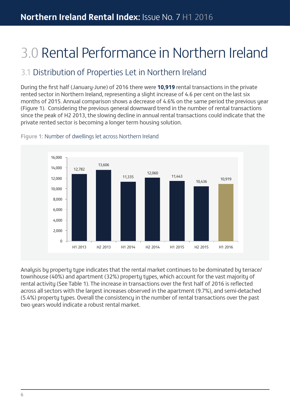## 3.0 Rental Performance in Northern Ireland

### 3.1 Distribution of Properties Let in Northern Ireland

During the first half (January-June) of 2016 there were **10,919** rental transactions in the private rented sector in Northern Ireland, representing a slight increase of 4.6 per cent on the last six months of 2015. Annual comparison shows a decrease of 4.6% on the same period the previous year (Figure 1). Considering the previous general downward trend in the number of rental transactions since the peak of H2 2013, the slowing decline in annual rental transactions could indicate that the private rented sector is becoming a longer term housing solution.



**Figure 1:** Number of dwellings let across Northern Ireland

Analysis by property type indicates that the rental market continues to be dominated by terrace/ townhouse (40%) and apartment (32%) property types, which account for the vast majority of rental activity (See Table 1). The increase in transactions over the first half of 2016 is reflected across all sectors with the largest increases observed in the apartment (9.7%), and semi-detached (5.4%) property types. Overall the consistency in the number of rental transactions over the past two years would indicate a robust rental market.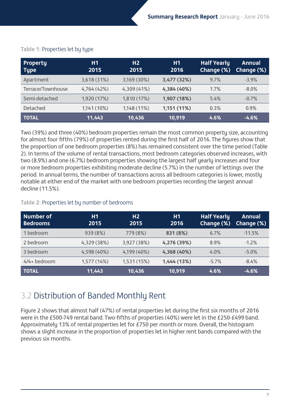| <b>Property</b><br><b>Type</b> | H1<br>2015  | H <sub>2</sub><br>2015 | H1<br>2016  | <b>Half Yearly</b><br>Change (%) | <b>Annual</b><br>Change (%) |
|--------------------------------|-------------|------------------------|-------------|----------------------------------|-----------------------------|
| Apartment                      | 3,618 (31%) | 3,169 (30%)            | 3,477 (32%) | 9.7%                             | $-3.9%$                     |
| Terrace/Townhouse              | 4,764 (42%) | 4,309 (41%)            | 4,384 (40%) | 1.7%                             | $-8.0\%$                    |
| Semi-detached                  | 1,920 (17%) | 1,810 (17%)            | 1,907 (18%) | 5.4%                             | $-0.7%$                     |
| <b>Detached</b>                | 1,141 (10%) | 1,148 (11%)            | 1,151 (11%) | 0.3%                             | 0.9%                        |
| TOTAL                          | 11,443      | 10,436                 | 10,919      | 4.6%                             | $-4.6%$                     |

### **Table 1:** Properties let by type

Two (39%) and three (40%) bedroom properties remain the most common property size, accounting for almost four fifths (79%) of properties rented during the first half of 2016. The figures show that the proportion of one bedroom properties (8%) has remained consistent over the time period (Table 2). In terms of the volume of rental transactions, most bedroom categories observed increases, with two (8.9%) and one (6.7%) bedroom properties showing the largest half yearly increases and four or more bedroom properties exhibiting moderate decline (5.7%) in the number of lettings over the period. In annual terms, the number of transactions across all bedroom categories is lower, mostly notable at either end of the market with one bedroom properties recording the largest annual decline (11.5%).

#### **Table 2:** Properties let by number of bedrooms

| <b>Number of</b><br><b>Bedrooms</b> | <b>H1</b><br>2015 | H <sub>2</sub><br>2015 | H1<br>2016  | <b>Half Yearly</b><br>Change (%) | <b>Annual</b><br>Change (%) |
|-------------------------------------|-------------------|------------------------|-------------|----------------------------------|-----------------------------|
| 1 bedroom                           | 939 (8%)          | 779 (8%)               | 831 (8%)    | 6.7%                             | $-11.5%$                    |
| 2 bedroom                           | 4,329 (38%)       | 3,927 (38%)            | 4,276 (39%) | 8.9%                             | $-1.2%$                     |
| 3 bedroom                           | 4,598 (40%)       | 4,199 (40%)            | 4,368 (40%) | 4.0%                             | $-5.0%$                     |
| 4/4+ bedroom                        | 1,577 (14%)       | 1,531 (15%)            | 1,444 (13%) | $-5.7%$                          | $-8.4%$                     |
| <b>TOTAL</b>                        | 11,443            | 10,436                 | 10,919      | 4.6%                             | $-4.6%$                     |

### 3.2 Distribution of Banded Monthly Rent

Figure 2 shows that almost half (47%) of rental properties let during the first six months of 2016 were in the £500-749 rental band. Two-fifths of properties (40%) were let in the £250-£499 band. Approximately 13% of rental properties let for £750 per month or more. Overall, the histogram shows a slight increase in the proportion of properties let in higher rent bands compared with the previous six months.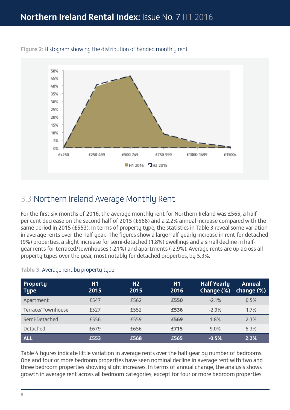

#### **Figure 2:** Histogram showing the distribution of banded monthly rent

### 3.3 Northern Ireland Average Monthly Rent

For the first six months of 2016, the average monthly rent for Northern Ireland was £565, a half per cent decrease on the second half of 2015 (£568) and a 2.2% annual increase compared with the same period in 2015 (£553). In terms of property type, the statistics in Table 3 reveal some variation in average rents over the half year. The figures show a large half yearly increase in rent for detached (9%) properties, a slight increase for semi-detached (1.8%) dwellings and a small decline in halfyear rents for terraced/townhouses (-2.1%) and apartments (-2.9%). Average rents are up across all property types over the year, most notably for detached properties, by 5.3%.

| <b>Property</b><br><b>Type</b> | H <sub>1</sub><br>2015 | H <sub>2</sub><br>2015 | H1<br>2016 | <b>Half Yearly</b><br>Change (%) | <b>Annual</b><br>change (%) |
|--------------------------------|------------------------|------------------------|------------|----------------------------------|-----------------------------|
| Apartment                      | £547                   | £562                   | £550       | $-2.1%$                          | 0.5%                        |
| <b>Terrace/Townhouse</b>       | £527                   | £552                   | £536       | $-2.9%$                          | 1.7%                        |
| Semi-Detached                  | £556                   | £559                   | £569       | 1.8%                             | 2.3%                        |
| <b>Detached</b>                | £679                   | £656                   | £715       | 9.0%                             | 5.3%                        |
| <b>ALL</b>                     | £553                   | £568                   | £565       | $-0.5%$                          | 2.2%                        |

#### **Table 3:** Average rent by property type

Table 4 figures indicate little variation in average rents over the half year by number of bedrooms. One and four or more bedroom properties have seen nominal decline in average rent with two and three bedroom properties showing slight increases. In terms of annual change, the analysis shows growth in average rent across all bedroom categories, except for four or more bedroom properties.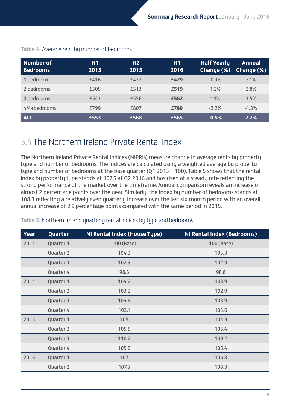| <b>Number of</b><br><b>Bedrooms</b> | H1<br>2015 | H <sub>2</sub><br>2015 | <b>H1</b><br>2016 | Half Yearly<br>Change (%) | <b>Annual</b><br>Change (%) |
|-------------------------------------|------------|------------------------|-------------------|---------------------------|-----------------------------|
| 1 bedroom                           | £416       | £433                   | £429              | $-0.9%$                   | 3.1%                        |
| 2 bedrooms                          | £505       | £513                   | £519              | 1.2%                      | 2.8%                        |
| 3 bedrooms                          | £543       | £556                   | £562              | 1.1%                      | 3.5%                        |
| 4/4+bedrooms                        | £799       | £807                   | £789              | $-2.2%$                   | $-1.3%$                     |
| <b>ALL</b>                          | £553       | £568                   | £565              | $-0.5%$                   | 2.2%                        |

### **Table 4:** Average rent by number of bedrooms

### 3.4 The Northern Ireland Private Rental Index

The Northern Ireland Private Rental Indices (NIPRIs) measure change in average rents by property type and number of bedrooms. The indices are calculated using a weighted average by property type and number of bedrooms at the base quarter (Q1 2013 = 100). Table 5 shows that the rental index by property type stands at 107.5 at Q2 2016 and has risen at a steady rate reflecting the strong performance of the market over the timeframe. Annual comparison reveals an increase of almost 2 percentage points over the year. Similarly, the Index by number of bedrooms stands at 108.3 reflecting a relatively even quarterly increase over the last six month period with an overall annual increase of 2.9 percentage points compared with the same period in 2015.

| Year | Quarter   | NI Rental Index (House Type) | <b>NI Rental Index (Bedrooms)</b> |
|------|-----------|------------------------------|-----------------------------------|
| 2013 | Quarter 1 | 100 (Base)                   | 100 (Base)                        |
|      | Quarter 2 | 104.3                        | 103.3                             |
|      | Quarter 3 | 102.9                        | 102.3                             |
|      | Quarter 4 | 98.6                         | 98.8                              |
| 2014 | Quarter 1 | 104.2                        | 103.9                             |
|      | Quarter 2 | 103.2                        | 102.9                             |
|      | Quarter 3 | 104.9                        | 103.9                             |
|      | Quarter 4 | 103.1                        | 103.6                             |
| 2015 | Quarter 1 | 105                          | 104.9                             |
|      | Quarter 2 | 105.5                        | 105.4                             |
|      | Quarter 3 | 110.2                        | 109.2                             |
|      | Quarter 4 | 105.2                        | 105.4                             |
| 2016 | Quarter 1 | 107                          | 106.8                             |
|      | Quarter 2 | 107.5                        | 108.3                             |

### **Table 5:** Northern Ireland quarterly rental indices by type and bedrooms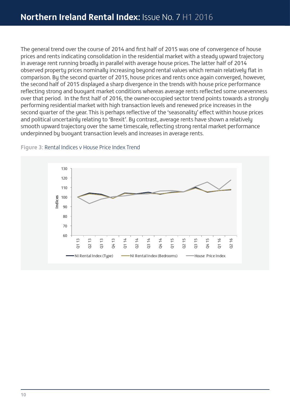The general trend over the course of 2014 and first half of 2015 was one of convergence of house prices and rents indicating consolidation in the residential market with a steady upward trajectory in average rent running broadly in parallel with average house prices. The latter half of 2014 observed property prices nominally increasing beyond rental values which remain relatively flat in comparison. By the second quarter of 2015, house prices and rents once again converged, however, the second half of 2015 displayed a sharp divergence in the trends with house price performance reflecting strong and buoyant market conditions whereas average rents reflected some unevenness over that period. In the first half of 2016, the owner-occupied sector trend points towards a strongly performing residential market with high transaction levels and renewed price increases in the second quarter of the year. This is perhaps reflective of the 'seasonality' effect within house prices and political uncertainly relating to 'Brexit'. By contrast, average rents have shown a relatively smooth upward trajectory over the same timescale, reflecting strong rental market performance underpinned by buoyant transaction levels and increases in average rents.



#### **Figure 3:** Rental Indices v House Price Index Trend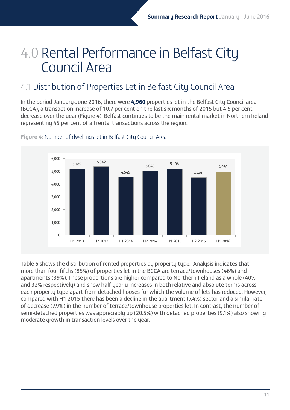## 4.0 Rental Performance in Belfast City Council Area

### 4.1 Distribution of Properties Let in Belfast City Council Area

In the period January-June 2016, there were **4,960** properties let in the Belfast City Council area (BCCA), a transaction increase of 10.7 per cent on the last six months of 2015 but 4.5 per cent decrease over the year (Figure 4). Belfast continues to be the main rental market in Northern Ireland representing 45 per cent of all rental transactions across the region.



#### **Figure 4:** Number of dwellings let in Belfast City Council Area

Table 6 shows the distribution of rented properties by property type. Analysis indicates that more than four fifths (85%) of properties let in the BCCA are terrace/townhouses (46%) and apartments (39%). These proportions are higher compared to Northern Ireland as a whole (40% and 32% respectively) and show half yearly increases in both relative and absolute terms across each property type apart from detached houses for which the volume of lets has reduced. However, compared with H1 2015 there has been a decline in the apartment (7.4%) sector and a similar rate of decrease (7.9%) in the number of terrace/townhouse properties let. In contrast, the number of semi-detached properties was appreciably up (20.5%) with detached properties (9.1%) also showing moderate growth in transaction levels over the year.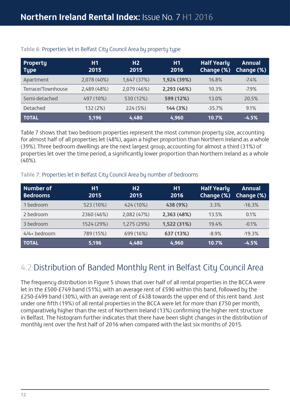| <b>Property</b><br><b>Type</b> | H1<br>2015  | H <sub>2</sub><br>2015 | H1<br>2016  | <b>Half Yearly</b><br>Change (%) | <b>Annual</b><br>Change (%) |
|--------------------------------|-------------|------------------------|-------------|----------------------------------|-----------------------------|
| Apartment                      | 2,078 (40%) | 1,647 (37%)            | 1,924 (39%) | 16.8%                            | $-7.4%$                     |
| Terrace/Townhouse              | 2,489 (48%) | 2,079 (46%)            | 2,293 (46%) | 10.3%                            | $-7.9%$                     |
| Semi-detached                  | 497 (10%)   | 530 (12%)              | 599 (12%)   | 13.0%                            | 20.5%                       |
| <b>Detached</b>                | 132 (2%)    | 224 (5%)               | 144(3%)     | $-35.7%$                         | 9.1%                        |
| <b>TOTAL</b>                   | 5,196       | 4,480                  | 4,960       | 10.7%                            | $-4.5%$                     |

### **Table 6:** Properties let in Belfast City Council Area by property type

Table 7 shows that two bedroom properties represent the most common property size, accounting for almost half of all properties let (48%), again a higher proportion than Northern Ireland as a whole (39%). Three bedroom dwellings are the next largest group, accounting for almost a third (31%) of properties let over the time period, a significantly lower proportion than Northern Ireland as a whole  $(40\%)$ .

### **Table 7:** Properties let in Belfast City Council Area by number of bedrooms

| <b>Number of</b><br><b>Bedrooms</b> | <b>H1</b><br>2015 | H <sub>2</sub><br>2015 | H1<br>2016  | <b>Half Yearly</b><br>Change (%) | <b>Annual</b><br>Change (%) |
|-------------------------------------|-------------------|------------------------|-------------|----------------------------------|-----------------------------|
| 1 bedroom                           | 523 (10%)         | 424 (10%)              | 438 (9%)    | 3.3%                             | $-16.3%$                    |
| 2 bedroom                           | 2360 (46%)        | 2,082 (47%)            | 2,363 (48%) | 13.5%                            | 0.1%                        |
| 3 bedroom                           | 1524 (29%)        | 1,275 (29%)            | 1,522 (31%) | 19.4%                            | $-0.1%$                     |
| 4/4+ bedroom                        | 789 (15%)         | 699 (16%)              | 637 (13%)   | $-8.9%$                          | $-19.3%$                    |
| <b>TOTAL</b>                        | 5,196             | 4,480                  | 4,960       | 10.7%                            | $-4.5%$                     |

### 4.2 Distribution of Banded Monthly Rent in Belfast City Council Area

The frequency distribution in Figure 5 shows that over half of all rental properties in the BCCA were let in the £500-£749 band (51%), with an average rent of £590 within this band, followed by the £250-£499 band (30%), with an average rent of £438 towards the upper end of this rent band. Just under one fifth (19%) of all rental properties in the BCCA were let for more than £750 per month, comparatively higher than the rest of Northern Ireland (13%) confirming the higher rent structure in Belfast. The histogram further indicates that there have been slight changes in the distribution of monthly rent over the first half of 2016 when compared with the last six months of 2015.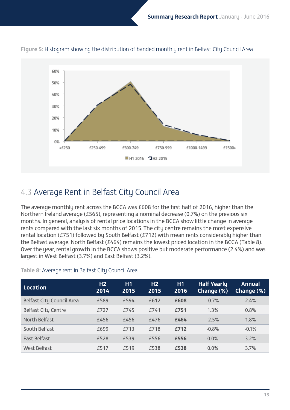

### **Figure 5:** Histogram showing the distribution of banded monthly rent in Belfast City Council Area

### 4.3 Average Rent in Belfast City Council Area

The average monthly rent across the BCCA was £608 for the first half of 2016, higher than the Northern Ireland average (£565), representing a nominal decrease (0.7%) on the previous six months. In general, analysis of rental price locations in the BCCA show little change in average rents compared with the last six months of 2015. The city centre remains the most expensive rental location (£751) followed by South Belfast (£712) with mean rents considerably higher than the Belfast average. North Belfast (£464) remains the lowest priced location in the BCCA (Table 8). Over the year, rental growth in the BCCA shows positive but moderate performance (2.4%) and was largest in West Belfast (3.7%) and East Belfast (3.2%).

### **Table 8:** Average rent in Belfast City Council Area

| <b>Location</b>                  | H <sub>2</sub><br>2014 | H1<br>2015 | H <sub>2</sub><br>2015 | <b>H1</b><br>2016 | <b>Half Yearly</b><br>Change (%) | <b>Annual</b><br>Change (%) |
|----------------------------------|------------------------|------------|------------------------|-------------------|----------------------------------|-----------------------------|
| <b>Belfast City Council Area</b> | £589                   | £594       | £612                   | £608              | $-0.7%$                          | 2.4%                        |
| <b>Belfast City Centre</b>       | £727                   | £745       | £741                   | £751              | 1.3%                             | 0.8%                        |
| North Belfast                    | £456                   | £456       | £476                   | £464              | $-2.5%$                          | 1.8%                        |
| South Belfast                    | £699                   | £713       | £718                   | £712              | $-0.8%$                          | $-0.1%$                     |
| <b>East Belfast</b>              | £528                   | £539       | £556                   | £556              | 0.0%                             | 3.2%                        |
| <b>West Belfast</b>              | £517                   | £519       | £538                   | £538              | 0.0%                             | 3.7%                        |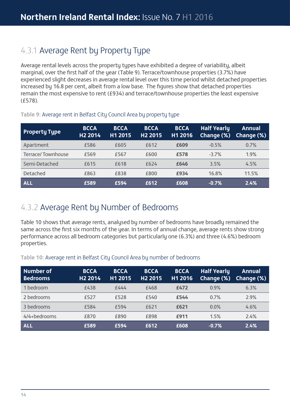### 4.3.1 Average Rent by Property Type

Average rental levels across the property types have exhibited a degree of variability, albeit marginal, over the first half of the year (Table 9). Terrace/townhouse properties (3.7%) have experienced slight decreases in average rental level over this time period whilst detached properties increased by 16.8 per cent, albeit from a low base. The figures show that detached properties remain the most expensive to rent (£934) and terrace/townhouse properties the least expensive (£578).

| <b>Property Type</b> | <b>BCCA</b><br>H <sub>2</sub> 2014 | <b>BCCA</b><br>H1 2015 | <b>BCCA</b><br>H <sub>2</sub> 2015 | <b>BCCA</b><br>H1 2016 | <b>Half Yearly</b><br>Change (%) | <b>Annual</b><br>Change (%) |
|----------------------|------------------------------------|------------------------|------------------------------------|------------------------|----------------------------------|-----------------------------|
| Apartment            | £586                               | £605                   | £612                               | £609                   | $-0.5%$                          | 0.7%                        |
| Terrace/Townhouse    | £569                               | £567                   | £600                               | £578                   | $-3.7%$                          | 1.9%                        |
| Semi-Detached        | £615                               | £618                   | £624                               | £646                   | 3.5%                             | 4.5%                        |
| <b>Detached</b>      | £863                               | £838                   | £800                               | £934                   | 16.8%                            | 11.5%                       |
| <b>ALL</b>           | £589                               | £594                   | £612                               | £608                   | $-0.7%$                          | 2.4%                        |

#### **Table 9:** Average rent in Belfast City Council Area by property type

### 4.3.2 Average Rent by Number of Bedrooms

Table 10 shows that average rents, analysed by number of bedrooms have broadly remained the same across the first six months of the year. In terms of annual change, average rents show strong performance across all bedroom categories but particularly one (6.3%) and three (4.6%) bedroom properties.

**Table 10:** Average rent in Belfast City Council Area by number of bedrooms

| Number of<br><b>Bedrooms</b> | <b>BCCA</b><br>H <sub>2</sub> 2014 | <b>BCCA</b><br>H1 2015 | <b>BCCA</b><br>H <sub>2</sub> 2015 | <b>BCCA</b><br>H1 2016 | <b>Half Yearly</b><br>Change (%) | <b>Annual</b><br>Change (%) |
|------------------------------|------------------------------------|------------------------|------------------------------------|------------------------|----------------------------------|-----------------------------|
| 1 bedroom                    | £438                               | £444                   | £468                               | £472                   | 0.9%                             | 6.3%                        |
| 2 bedrooms                   | £527                               | £528                   | £540                               | £544                   | 0.7%                             | 2.9%                        |
| 3 bedrooms                   | £584                               | £594                   | £621                               | £621                   | 0.0%                             | 4.6%                        |
| 4/4+bedrooms                 | £870                               | £890                   | £898                               | £911                   | 1.5%                             | 2.4%                        |
| <b>ALL</b>                   | £589                               | £594                   | £612                               | £608                   | $-0.7%$                          | 2.4%                        |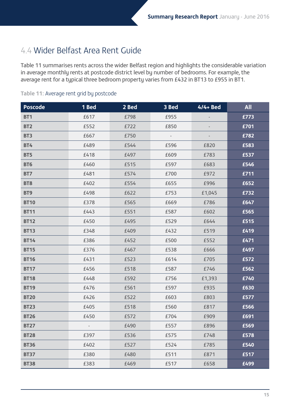### 4.4 Wider Belfast Area Rent Guide

Table 11 summarises rents across the wider Belfast region and highlights the considerable variation in average monthly rents at postcode district level by number of bedrooms. For example, the average rent for a typical three bedroom property varies from £432 in BT13 to £955 in BT1.

| <b>Poscode</b> | 1 Bed                    | 2 Bed | 3 Bed | $4/4+$ Bed | <b>All</b> |
|----------------|--------------------------|-------|-------|------------|------------|
| <b>BT1</b>     | £617                     | £798  | £955  |            | £773       |
| <b>BT2</b>     | £552                     | £722  | £850  |            | £701       |
| BT3            | £667                     | £750  |       |            | £782       |
| <b>BT4</b>     | £489                     | £544  | £596  | £820       | £583       |
| BT5            | £418                     | £497  | £609  | £783       | £537       |
| <b>BT6</b>     | £460                     | £515  | £597  | £683       | £546       |
| BT7            | £481                     | £574  | £700  | £972       | £711       |
| <b>BT8</b>     | £402                     | £554  | £655  | £996       | £652       |
| BT9            | £498                     | £622  | £753  | £1,045     | £732       |
| <b>BT10</b>    | £378                     | £565  | £669  | £786       | £647       |
| <b>BT11</b>    | £443                     | £551  | £587  | £602       | £565       |
| <b>BT12</b>    | £450                     | £495  | £529  | £644       | £515       |
| <b>BT13</b>    | £348                     | £409  | £432  | £519       | £419       |
| <b>BT14</b>    | £386                     | £452  | £500  | £552       | £471       |
| <b>BT15</b>    | £376                     | £467  | £538  | £666       | £497       |
| <b>BT16</b>    | £431                     | £523  | £614  | £705       | £572       |
| <b>BT17</b>    | £456                     | £518  | £587  | £746       | £562       |
| <b>BT18</b>    | £448                     | £592  | £756  | £1,393     | £740       |
| <b>BT19</b>    | £476                     | £561  | £597  | £935       | £630       |
| <b>BT20</b>    | £426                     | £522  | £603  | £803       | £577       |
| <b>BT23</b>    | £405                     | £518  | £560  | £817       | £566       |
| <b>BT26</b>    | £450                     | £572  | £704  | £909       | £691       |
| <b>BT27</b>    | $\overline{\phantom{a}}$ | £490  | £557  | £896       | £569       |
| <b>BT28</b>    | £397                     | £536  | £575  | £748       | £578       |
| <b>BT36</b>    | £402                     | £527  | £524  | £785       | £540       |
| <b>BT37</b>    | £380                     | £480  | £511  | £871       | £517       |
| <b>BT38</b>    | £383                     | £469  | £517  | £658       | £499       |

### **Table 11:** Average rent grid by postcode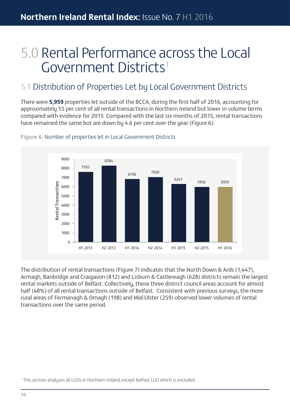## 5.0 Rental Performance across the Local Government Districts1

### 5.1 Distribution of Properties Let by Local Government Districts

There were **5,959** properties let outside of the BCCA, during the first half of 2016, accounting for approximately 55 per cent of all rental transactions in Northern Ireland but lower in volume terms compared with evidence for 2015. Compared with the last six months of 2015, rental transactions have remained the same but are down by 4.6 per cent over the year (Figure 6).



**Figure 6:** Number of properties let in Local Government Districts

The distribution of rental transactions (Figure 7) indicates that the North Down & Ards (1,447), Armagh, Banbridge and Craigavon (812) and Lisburn & Castlereagh (628) districts remain the largest rental markets outside of Belfast. Collectively, these three district council areas account for almost half (48%) of all rental transactions outside of Belfast. Consistent with previous surveys, the more rural areas of Fermanagh & Omagh (198) and Mid-Ulster (259) observed lower volumes of rental transactions over the same period.

<sup>1</sup> This section analyses all LGDs in Northern Ireland except Belfast LGD which is excluded.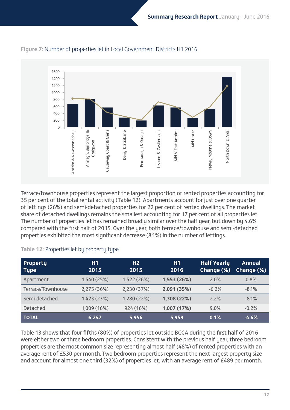

### **Figure 7:** Number of properties let in Local Government Districts H1 2016

Terrace/townhouse properties represent the largest proportion of rented properties accounting for 35 per cent of the total rental activity (Table 12). Apartments account for just over one quarter of lettings (26%) and semi-detached properties for 22 per cent of rented dwellings. The market share of detached dwellings remains the smallest accounting for 17 per cent of all properties let. The number of properties let has remained broadly similar over the half year, but down by 4.6% compared with the first half of 2015. Over the year, both terrace/townhouse and semi-detached properties exhibited the most significant decrease (8.1%) in the number of lettings.

### **Table 12:** Properties let by property type

| <b>Property</b><br><b>Type</b> | H1<br>2015  | H <sub>2</sub><br>2015 | H1<br>2016  | <b>Half Yearly</b><br>Change (%) | <b>Annual</b><br>Change (%) |
|--------------------------------|-------------|------------------------|-------------|----------------------------------|-----------------------------|
| Apartment                      | 1,540 (25%) | 1,522 (26%)            | 1,553 (26%) | 2.0%                             | 0.8%                        |
| Terrace/Townhouse              | 2,275 (36%) | 2,230 (37%)            | 2,091 (35%) | $-6.2%$                          | $-8.1%$                     |
| Semi-detached                  | 1,423 (23%) | 1,280 (22%)            | 1,308 (22%) | 2.2%                             | $-8.1%$                     |
| Detached                       | 1,009 (16%) | 924 (16%)              | 1,007 (17%) | 9.0%                             | $-0.2%$                     |
| <b>TOTAL</b>                   | 6,247       | 5,956                  | 5,959       | 0.1%                             | $-4.6%$                     |

Table 13 shows that four fifths (80%) of properties let outside BCCA during the first half of 2016 were either two or three bedroom properties. Consistent with the previous half year, three bedroom properties are the most common size representing almost half (48%) of rented properties with an average rent of £530 per month. Two bedroom properties represent the next largest property size and account for almost one third (32%) of properties let, with an average rent of £489 per month.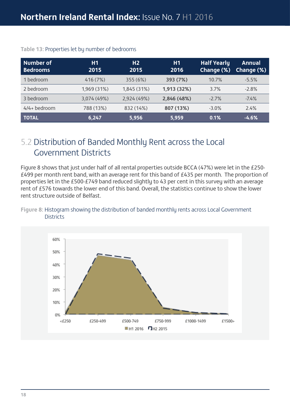| Number of<br><b>Bedrooms</b> | H1<br>2015  | H <sub>2</sub><br>2015 | H1<br>2016  | <b>Half Yearly</b><br>Change (%) | <b>Annual</b><br>Change (%) |
|------------------------------|-------------|------------------------|-------------|----------------------------------|-----------------------------|
| 1 bedroom                    | 416 (7%)    | 355 (6%)               | 393 (7%)    | 10.7%                            | $-5.5%$                     |
| 2 bedroom                    | 1,969 (31%) | 1,845 (31%)            | 1,913 (32%) | 3.7%                             | $-2.8%$                     |
| 3 bedroom                    | 3,074 (49%) | 2,924 (49%)            | 2,846 (48%) | $-2.7%$                          | $-7.4\%$                    |
| 4/4+ bedroom                 | 788 (13%)   | 832 (14%)              | 807 (13%)   | $-3.0%$                          | 2.4%                        |
| <b>TOTAL</b>                 | 6,247       | 5,956                  | 5,959       | 0.1%                             | $-4.6%$                     |

#### **Table 13:** Properties let by number of bedrooms

### 5.2 Distribution of Banded Monthly Rent across the Local Government Districts

Figure 8 shows that just under half of all rental properties outside BCCA (47%) were let in the £250- £499 per month rent band, with an average rent for this band of £435 per month. The proportion of properties let in the £500-£749 band reduced slightly to 43 per cent in this survey with an average rent of £576 towards the lower end of this band. Overall, the statistics continue to show the lower rent structure outside of Belfast.

#### **Figure 8:** Histogram showing the distribution of banded monthly rents across Local Government **Districts**

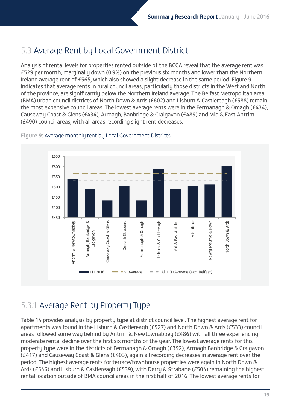### 5.3 Average Rent by Local Government District

Analysis of rental levels for properties rented outside of the BCCA reveal that the average rent was £529 per month, marginally down (0.9%) on the previous six months and lower than the Northern Ireland average rent of £565, which also showed a slight decrease in the same period. Figure 9 indicates that average rents in rural council areas, particularly those districts in the West and North of the province, are significantly below the Northern Ireland average. The Belfast Metropolitan area (BMA) urban council districts of North Down & Ards (£602) and Lisburn & Castlereagh (£588) remain the most expensive council areas. The lowest average rents were in the Fermanagh & Omagh (£434), Causeway Coast & Glens (£434), Armagh, Banbridge & Craigavon (£489) and Mid & East Antrim (£490) council areas, with all areas recording slight rent decreases.



### **Figure 9:** Average monthly rent by Local Government Districts

### 5.3.1 Average Rent by Property Type

Table 14 provides analysis by property type at district council level. The highest average rent for apartments was found in the Lisburn & Castlereagh (£527) and North Down & Ards (£533) council areas followed some way behind by Antrim & Newtownabbey (£486) with all three experiencing moderate rental decline over the first six months of the year. The lowest average rents for this property type were in the districts of Fermanagh & Omagh (£392), Armagh Banbridge & Craigavon (£417) and Causeway Coast & Glens (£403), again all recording decreases in average rent over the period. The highest average rents for terrace/townhouse properties were again in North Down & Ards (£546) and Lisburn & Castlereagh (£539), with Derry & Strabane (£504) remaining the highest rental location outside of BMA council areas in the first half of 2016. The lowest average rents for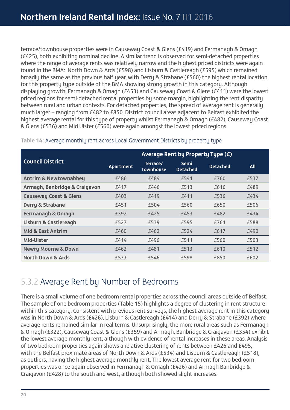terrace/townhouse properties were in Causeway Coast & Glens (£419) and Fermanagh & Omagh (£425), both exhibiting nominal decline. A similar trend is observed for semi-detached properties where the range of average rents was relatively narrow and the highest priced districts were again found in the BMA: North Down & Ards (£598) and Lisburn & Castlereagh (£595) which remained broadly the same as the previous half year, with Derry & Strabane (£560) the highest rental location for this property type outside of the BMA showing strong growth in this category. Although displaying growth, Fermanagh & Omagh (£453) and Causeway Coast & Glens (£411) were the lowest priced regions for semi-detached rental properties by some margin, highlighting the rent disparity between rural and urban contexts. For detached properties, the spread of average rent is generally much larger – ranging from £482 to £850. District council areas adjacent to Belfast exhibited the highest average rental for this type of property whilst Fermanagh & Omagh (£482), Causeway Coast & Glens (£536) and Mid Ulster (£560) were again amongst the lowest priced regions.

|                                   | Average Rent by Property Type (£) |                              |                                |                 |            |  |
|-----------------------------------|-----------------------------------|------------------------------|--------------------------------|-----------------|------------|--|
| <b>Council District</b>           | Apartment                         | Terrace/<br><b>Townhouse</b> | <b>Semi</b><br><b>Detached</b> | <b>Detached</b> | <b>All</b> |  |
| <b>Antrim &amp; Newtownabbey</b>  | £486                              | £484                         | £541                           | £760            | £537       |  |
| Armagh, Banbridge & Craigavon     | £417                              | £446                         | £513                           | £616            | £489       |  |
| <b>Causeway Coast &amp; Glens</b> | £403                              | £419                         | £411                           | £536            | £434       |  |
| <b>Derry &amp; Strabane</b>       | £451                              | £504                         | £560                           | £650            | £506       |  |
| <b>Fermanagh &amp; Omagh</b>      | £392                              | £425                         | £453                           | £482            | £434       |  |
| <b>Lisburn &amp; Castlereagh</b>  | £527                              | £539                         | £595                           | £761            | £588       |  |
| <b>Mid &amp; East Antrim</b>      | £460                              | £462                         | £524                           | £617            | £490       |  |
| Mid-Ulster                        | £414                              | £496                         | £511                           | £560            | £503       |  |
| <b>Newry Mourne &amp; Down</b>    | £462                              | £481                         | £513                           | £610            | £512       |  |
| <b>North Down &amp; Ards</b>      | £533                              | £546                         | £598                           | £850            | £602       |  |

### **Table 14:** Average monthly rent across Local Government Districts by property type

### 5.3.2 Average Rent by Number of Bedrooms

There is a small volume of one bedroom rental properties across the council areas outside of Belfast. The sample of one bedroom properties (Table 15) highlights a degree of clustering in rent structure within this category. Consistent with previous rent surveys, the highest average rent in this category was in North Down & Ards (£426), Lisburn & Castlereagh (£414) and Derry & Strabane (£392) where average rents remained similar in real terms. Unsurprisingly, the more rural areas such as Fermanagh & Omagh (£322), Causeway Coast & Glens (£359) and Armagh, Banbridge & Craigavon (£354) exhibit the lowest average monthly rent, although with evidence of rental increases in these areas. Analysis of two bedroom properties again shows a relative clustering of rents between £426 and £495, with the Belfast proximate areas of North Down & Ards (£534) and Lisburn & Castlereagh (£518), as outliers, having the highest average monthly rent. The lowest average rent for two bedroom properties was once again observed in Fermanagh & Omagh (£426) and Armagh Banbridge & Craigavon (£428) to the south and west, although both showed slight increases.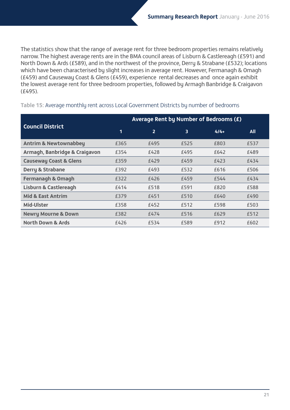The statistics show that the range of average rent for three bedroom properties remains relatively narrow. The highest average rents are in the BMA council areas of Lisburn & Castlereagh (£591) and North Down & Ards (£589), and in the northwest of the province, Derry & Strabane (£532); locations which have been characterised by slight increases in average rent. However, Fermanagh & Omagh (£459) and Causeway Coast & Glens (£459), experience rental decreases and once again exhibit the lowest average rent for three bedroom properties, followed by Armagh Banbridge & Craigavon (£495).

|                                   | Average Rent by Number of Bedrooms (£) |                |      |        |            |  |
|-----------------------------------|----------------------------------------|----------------|------|--------|------------|--|
| <b>Council District</b>           | 1                                      | $\overline{2}$ | 3    | $4/4+$ | <b>All</b> |  |
| <b>Antrim &amp; Newtownabbey</b>  | £365                                   | £495           | £525 | £803   | £537       |  |
| Armagh, Banbridge & Craigavon     | £354                                   | £428           | £495 | £642   | £489       |  |
| <b>Causeway Coast &amp; Glens</b> | £359                                   | £429           | £459 | £423   | £434       |  |
| <b>Derry &amp; Strabane</b>       | £392                                   | £493           | £532 | £616   | £506       |  |
| <b>Fermanagh &amp; Omagh</b>      | £322                                   | £426           | £459 | £544   | £434       |  |
| <b>Lisburn &amp; Castlereagh</b>  | £414                                   | £518           | £591 | £820   | £588       |  |
| <b>Mid &amp; East Antrim</b>      | £379                                   | £451           | £510 | £640   | £490       |  |
| Mid-Ulster                        | £358                                   | £452           | £512 | £598   | £503       |  |
| <b>Newry Mourne &amp; Down</b>    | £382                                   | £474           | £516 | £629   | £512       |  |
| <b>North Down &amp; Ards</b>      | £426                                   | £534           | £589 | £912   | £602       |  |

#### **Table 15:** Average monthly rent across Local Government Districts by number of bedrooms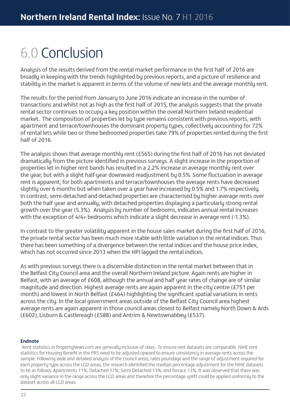## 6.0 Conclusion

Analysis of the results derived from the rental market performance in the first half of 2016 are broadly in keeping with the trends highlighted by previous reports, and a picture of resilience and stability in the market is apparent in terms of the volume of new lets and the average monthly rent.

The results for the period from January to June 2016 indicate an increase in the number of transactions and whilst not as high as the first half of 2015, the analysis suggests that the private rental sector continues to occupy a key position within the overall Northern Ireland residential market. The composition of properties let by type remains consistent with previous reports, with apartment and terrace/townhouses the dominant property types, collectively accounting for 72% of rental lets while two or three bedroomed properties take 79% of properties rented during the first half of 2016.

The analysis shows that average monthly rent (£565) during the first half of 2016 has not deviated dramatically from the picture identified in previous surveys. A slight increase in the proportion of properties let in higher rent bands has resulted in a 2.2% increase in average monthly rent over the year, but with a slight half-year downward readjustment by 0.5%. Some fluctuation in average rent is apparent; for both apartments and terrace/townhouses the average rents have decreased slightly over 6 months but when taken over a year have increased by 0.5% and 1.7% respectively. In contrast, semi-detached and detached properties are characterised by higher average rents over both the half year and annually, with detached properties displaying a particularly strong rental growth over the year (5.3%). Analysis by number of bedrooms, indicates annual rental increases with the exception of 4/4+ bedrooms which indicate a slight decrease in average rent (-1.3%).

In contrast to the greater volatility apparent in the house sales market during the first half of 2016, the private rental sector has been much more stable with little variation in the rental indices. Thus there has been something of a divergence between the rental indices and the house price index, which has not occurred since 2013 when the HPI lagged the rental indices.

As with previous surveys there is a discernible distinction in the rental market between that in the Belfast City Council area and the overall Northern Ireland picture. Again rents are higher in Belfast, with an average of £608, although the annual and half year rates of change are of similar magnitude and direction. Highest average rents are again apparent in the city centre (£751 per month) and lowest in North Belfast (£464) highlighting the significant spatial variations in rents across the city. In the local government areas outside of the Belfast City Council area highest average rents are again apparent in those council areas closest to Belfast namely North Down & Ards (£602), Lisburn & Castlereagh (£588) and Antrim & Newtownabbey (£537).

#### **Endnote**

i Rent statistics in PropertyNews.com are generally inclusive of rates. To ensure rent datasets are comparable, NIHE rent statistics for Housing Benefit in the PRS need to be adjusted upward to ensure consistency in average rents across the sample. Following wide and detailed analysis of the council areas, rates poundage and the range of adjustment required for each property type across the LGD areas, the research identified the median percentage adjustment for the NIHE datasets to be as follows: Apartments 11%; Detached 17%; Semi-Detached 13%; and Terrace 13%. It was observed that there was only slight variance in the range across the LGD areas and therefore the percentage uplift could be applied uniformly to the dataset across all LGD areas.